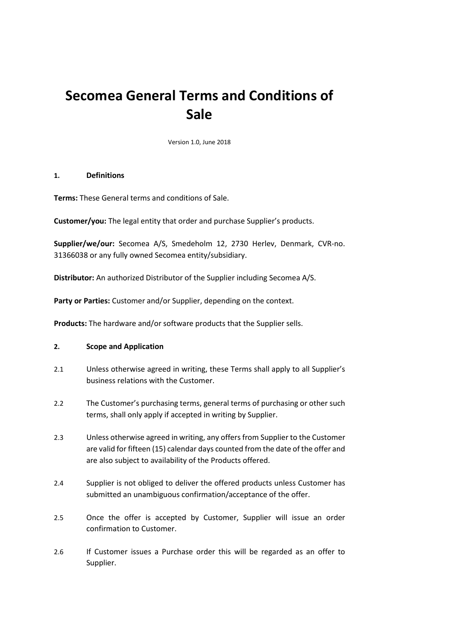# **Secomea General Terms and Conditions of Sale**

Version 1.0, June 2018

#### **1. Definitions**

**Terms:** These General terms and conditions of Sale.

**Customer/you:** The legal entity that order and purchase Supplier's products.

**Supplier/we/our:** Secomea A/S, Smedeholm 12, 2730 Herlev, Denmark, CVR-no. 31366038 or any fully owned Secomea entity/subsidiary.

**Distributor:** An authorized Distributor of the Supplier including Secomea A/S.

**Party or Parties:** Customer and/or Supplier, depending on the context.

**Products:** The hardware and/or software products that the Supplier sells.

#### **2. Scope and Application**

- 2.1 Unless otherwise agreed in writing, these Terms shall apply to all Supplier's business relations with the Customer.
- 2.2 The Customer's purchasing terms, general terms of purchasing or other such terms, shall only apply if accepted in writing by Supplier.
- 2.3 Unless otherwise agreed in writing, any offers from Supplier to the Customer are valid for fifteen (15) calendar days counted from the date of the offer and are also subject to availability of the Products offered.
- 2.4 Supplier is not obliged to deliver the offered products unless Customer has submitted an unambiguous confirmation/acceptance of the offer.
- 2.5 Once the offer is accepted by Customer, Supplier will issue an order confirmation to Customer.
- 2.6 If Customer issues a Purchase order this will be regarded as an offer to Supplier.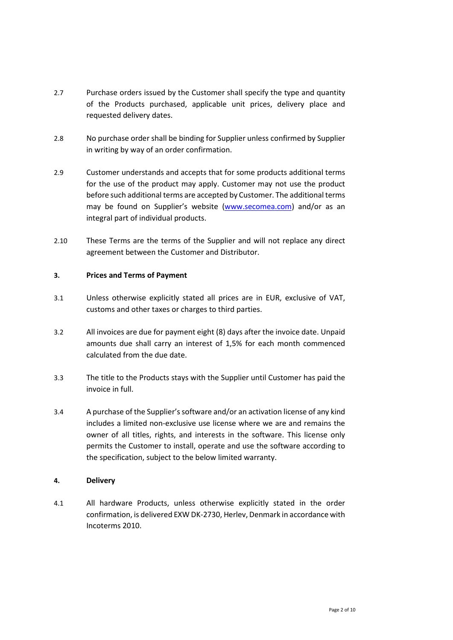- 2.7 Purchase orders issued by the Customer shall specify the type and quantity of the Products purchased, applicable unit prices, delivery place and requested delivery dates.
- 2.8 No purchase order shall be binding for Supplier unless confirmed by Supplier in writing by way of an order confirmation.
- 2.9 Customer understands and accepts that for some products additional terms for the use of the product may apply. Customer may not use the product before such additional terms are accepted by Customer. The additional terms may be found on Supplier's website [\(www.secomea.com\)](http://www.secomea.com/) and/or as an integral part of individual products.
- 2.10 These Terms are the terms of the Supplier and will not replace any direct agreement between the Customer and Distributor.

## **3. Prices and Terms of Payment**

- 3.1 Unless otherwise explicitly stated all prices are in EUR, exclusive of VAT, customs and other taxes or charges to third parties.
- 3.2 All invoices are due for payment eight (8) days after the invoice date. Unpaid amounts due shall carry an interest of 1,5% for each month commenced calculated from the due date.
- 3.3 The title to the Products stays with the Supplier until Customer has paid the invoice in full.
- 3.4 A purchase of the Supplier's software and/or an activation license of any kind includes a limited non-exclusive use license where we are and remains the owner of all titles, rights, and interests in the software. This license only permits the Customer to install, operate and use the software according to the specification, subject to the below limited warranty.

## **4. Delivery**

4.1 All hardware Products, unless otherwise explicitly stated in the order confirmation, is delivered EXW DK-2730, Herlev, Denmark in accordance with Incoterms 2010.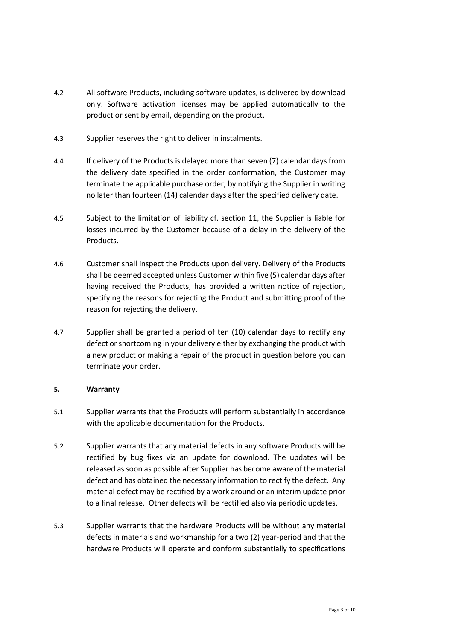- 4.2 All software Products, including software updates, is delivered by download only. Software activation licenses may be applied automatically to the product or sent by email, depending on the product.
- 4.3 Supplier reserves the right to deliver in instalments.
- 4.4 If delivery of the Products is delayed more than seven (7) calendar days from the delivery date specified in the order conformation, the Customer may terminate the applicable purchase order, by notifying the Supplier in writing no later than fourteen (14) calendar days after the specified delivery date.
- 4.5 Subject to the limitation of liability cf. section 11, the Supplier is liable for losses incurred by the Customer because of a delay in the delivery of the Products.
- 4.6 Customer shall inspect the Products upon delivery. Delivery of the Products shall be deemed accepted unless Customer within five (5) calendar days after having received the Products, has provided a written notice of rejection, specifying the reasons for rejecting the Product and submitting proof of the reason for rejecting the delivery.
- 4.7 Supplier shall be granted a period of ten (10) calendar days to rectify any defect or shortcoming in your delivery either by exchanging the product with a new product or making a repair of the product in question before you can terminate your order.

## **5. Warranty**

- 5.1 Supplier warrants that the Products will perform substantially in accordance with the applicable documentation for the Products.
- 5.2 Supplier warrants that any material defects in any software Products will be rectified by bug fixes via an update for download. The updates will be released as soon as possible after Supplier has become aware of the material defect and has obtained the necessary information to rectify the defect. Any material defect may be rectified by a work around or an interim update prior to a final release. Other defects will be rectified also via periodic updates.
- 5.3 Supplier warrants that the hardware Products will be without any material defects in materials and workmanship for a two (2) year-period and that the hardware Products will operate and conform substantially to specifications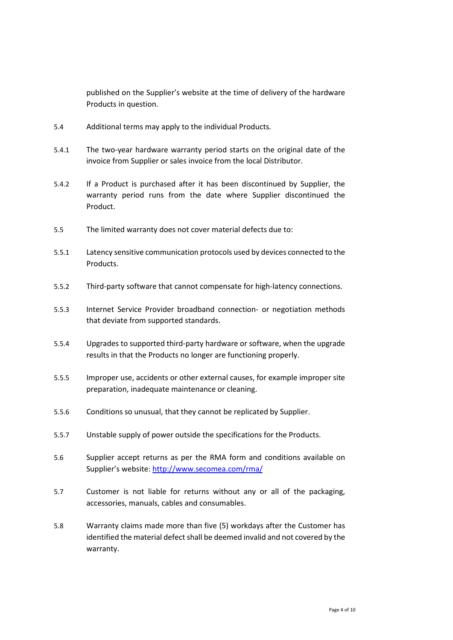published on the Supplier's website at the time of delivery of the hardware Products in question.

- 5.4 Additional terms may apply to the individual Products.
- 5.4.1 The two-year hardware warranty period starts on the original date of the invoice from Supplier or sales invoice from the local Distributor.
- 5.4.2 If a Product is purchased after it has been discontinued by Supplier, the warranty period runs from the date where Supplier discontinued the Product.
- 5.5 The limited warranty does not cover material defects due to:
- 5.5.1 Latency sensitive communication protocols used by devices connected to the Products.
- 5.5.2 Third-party software that cannot compensate for high-latency connections.
- 5.5.3 Internet Service Provider broadband connection- or negotiation methods that deviate from supported standards.
- 5.5.4 Upgrades to supported third-party hardware or software, when the upgrade results in that the Products no longer are functioning properly.
- 5.5.5 Improper use, accidents or other external causes, for example improper site preparation, inadequate maintenance or cleaning.
- 5.5.6 Conditions so unusual, that they cannot be replicated by Supplier.
- 5.5.7 Unstable supply of power outside the specifications for the Products.
- 5.6 Supplier accept returns as per the RMA form and conditions available on Supplier's website:<http://www.secomea.com/rma/>
- 5.7 Customer is not liable for returns without any or all of the packaging, accessories, manuals, cables and consumables.
- 5.8 Warranty claims made more than five (5) workdays after the Customer has identified the material defect shall be deemed invalid and not covered by the warranty.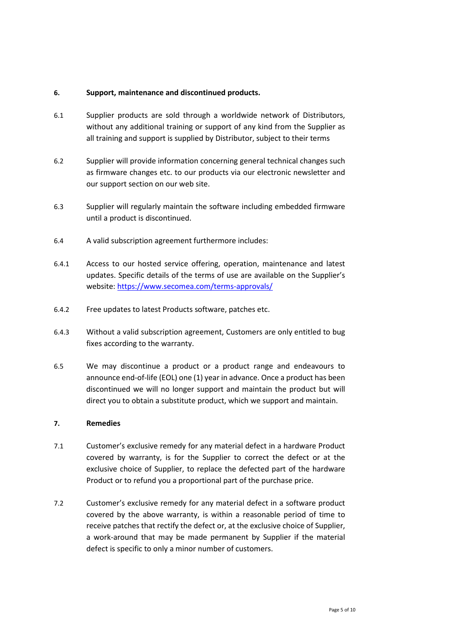### **6. Support, maintenance and discontinued products.**

- 6.1 Supplier products are sold through a worldwide network of Distributors, without any additional training or support of any kind from the Supplier as all training and support is supplied by Distributor, subject to their terms
- 6.2 Supplier will provide information concerning general technical changes such as firmware changes etc. to our products via our electronic newsletter and our support section on our web site.
- 6.3 Supplier will regularly maintain the software including embedded firmware until a product is discontinued.
- 6.4 A valid subscription agreement furthermore includes:
- 6.4.1 Access to our hosted service offering, operation, maintenance and latest updates. Specific details of the terms of use are available on the Supplier's website:<https://www.secomea.com/terms-approvals/>
- 6.4.2 Free updates to latest Products software, patches etc.
- 6.4.3 Without a valid subscription agreement, Customers are only entitled to bug fixes according to the warranty.
- 6.5 We may discontinue a product or a product range and endeavours to announce end-of-life (EOL) one (1) year in advance. Once a product has been discontinued we will no longer support and maintain the product but will direct you to obtain a substitute product, which we support and maintain.

## **7. Remedies**

- 7.1 Customer's exclusive remedy for any material defect in a hardware Product covered by warranty, is for the Supplier to correct the defect or at the exclusive choice of Supplier, to replace the defected part of the hardware Product or to refund you a proportional part of the purchase price.
- 7.2 Customer's exclusive remedy for any material defect in a software product covered by the above warranty, is within a reasonable period of time to receive patches that rectify the defect or, at the exclusive choice of Supplier, a work-around that may be made permanent by Supplier if the material defect is specific to only a minor number of customers.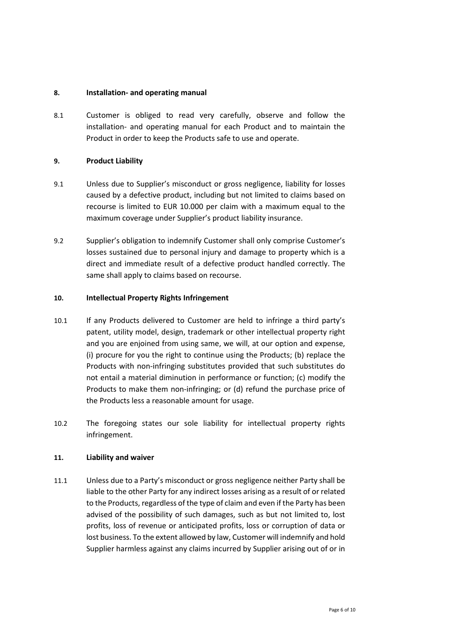### **8. Installation- and operating manual**

8.1 Customer is obliged to read very carefully, observe and follow the installation- and operating manual for each Product and to maintain the Product in order to keep the Products safe to use and operate.

### **9. Product Liability**

- 9.1 Unless due to Supplier's misconduct or gross negligence, liability for losses caused by a defective product, including but not limited to claims based on recourse is limited to EUR 10.000 per claim with a maximum equal to the maximum coverage under Supplier's product liability insurance.
- 9.2 Supplier's obligation to indemnify Customer shall only comprise Customer's losses sustained due to personal injury and damage to property which is a direct and immediate result of a defective product handled correctly. The same shall apply to claims based on recourse.

#### **10. Intellectual Property Rights Infringement**

- 10.1 If any Products delivered to Customer are held to infringe a third party's patent, utility model, design, trademark or other intellectual property right and you are enjoined from using same, we will, at our option and expense, (i) procure for you the right to continue using the Products; (b) replace the Products with non-infringing substitutes provided that such substitutes do not entail a material diminution in performance or function; (c) modify the Products to make them non-infringing; or (d) refund the purchase price of the Products less a reasonable amount for usage.
- 10.2 The foregoing states our sole liability for intellectual property rights infringement.

## **11. Liability and waiver**

11.1 Unless due to a Party's misconduct or gross negligence neither Party shall be liable to the other Party for any indirect losses arising as a result of or related to the Products, regardless of the type of claim and even if the Party has been advised of the possibility of such damages, such as but not limited to, lost profits, loss of revenue or anticipated profits, loss or corruption of data or lost business. To the extent allowed by law, Customer will indemnify and hold Supplier harmless against any claims incurred by Supplier arising out of or in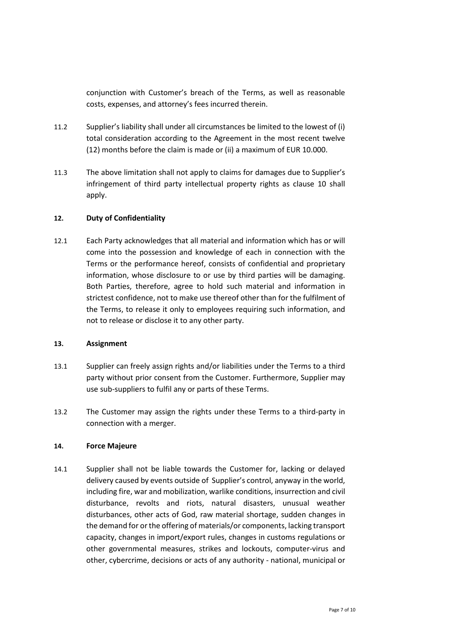conjunction with Customer's breach of the Terms, as well as reasonable costs, expenses, and attorney's fees incurred therein.

- 11.2 Supplier's liability shall under all circumstances be limited to the lowest of (i) total consideration according to the Agreement in the most recent twelve (12) months before the claim is made or (ii) a maximum of EUR 10.000.
- 11.3 The above limitation shall not apply to claims for damages due to Supplier's infringement of third party intellectual property rights as clause 10 shall apply.

## **12. Duty of Confidentiality**

12.1 Each Party acknowledges that all material and information which has or will come into the possession and knowledge of each in connection with the Terms or the performance hereof, consists of confidential and proprietary information, whose disclosure to or use by third parties will be damaging. Both Parties, therefore, agree to hold such material and information in strictest confidence, not to make use thereof other than for the fulfilment of the Terms, to release it only to employees requiring such information, and not to release or disclose it to any other party.

## **13. Assignment**

- 13.1 Supplier can freely assign rights and/or liabilities under the Terms to a third party without prior consent from the Customer. Furthermore, Supplier may use sub-suppliers to fulfil any or parts of these Terms.
- 13.2 The Customer may assign the rights under these Terms to a third-party in connection with a merger.

## **14. Force Majeure**

14.1 Supplier shall not be liable towards the Customer for, lacking or delayed delivery caused by events outside of Supplier's control, anyway in the world, including fire, war and mobilization, warlike conditions, insurrection and civil disturbance, revolts and riots, natural disasters, unusual weather disturbances, other acts of God, raw material shortage, sudden changes in the demand for or the offering of materials/or components, lacking transport capacity, changes in import/export rules, changes in customs regulations or other governmental measures, strikes and lockouts, computer-virus and other, cybercrime, decisions or acts of any authority - national, municipal or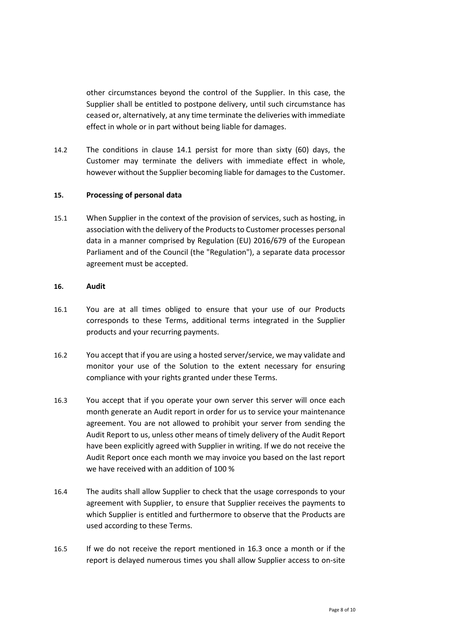other circumstances beyond the control of the Supplier. In this case, the Supplier shall be entitled to postpone delivery, until such circumstance has ceased or, alternatively, at any time terminate the deliveries with immediate effect in whole or in part without being liable for damages.

14.2 The conditions in clause 14.1 persist for more than sixty (60) days, the Customer may terminate the delivers with immediate effect in whole, however without the Supplier becoming liable for damages to the Customer.

### **15. Processing of personal data**

15.1 When Supplier in the context of the provision of services, such as hosting, in association with the delivery of the Products to Customer processes personal data in a manner comprised by Regulation (EU) 2016/679 of the European Parliament and of the Council (the "Regulation"), a separate data processor agreement must be accepted.

## **16. Audit**

- 16.1 You are at all times obliged to ensure that your use of our Products corresponds to these Terms, additional terms integrated in the Supplier products and your recurring payments.
- 16.2 You accept that if you are using a hosted server/service, we may validate and monitor your use of the Solution to the extent necessary for ensuring compliance with your rights granted under these Terms.
- 16.3 You accept that if you operate your own server this server will once each month generate an Audit report in order for us to service your maintenance agreement. You are not allowed to prohibit your server from sending the Audit Report to us, unless other means of timely delivery of the Audit Report have been explicitly agreed with Supplier in writing. If we do not receive the Audit Report once each month we may invoice you based on the last report we have received with an addition of 100 %
- 16.4 The audits shall allow Supplier to check that the usage corresponds to your agreement with Supplier, to ensure that Supplier receives the payments to which Supplier is entitled and furthermore to observe that the Products are used according to these Terms.
- 16.5 If we do not receive the report mentioned in 16.3 once a month or if the report is delayed numerous times you shall allow Supplier access to on-site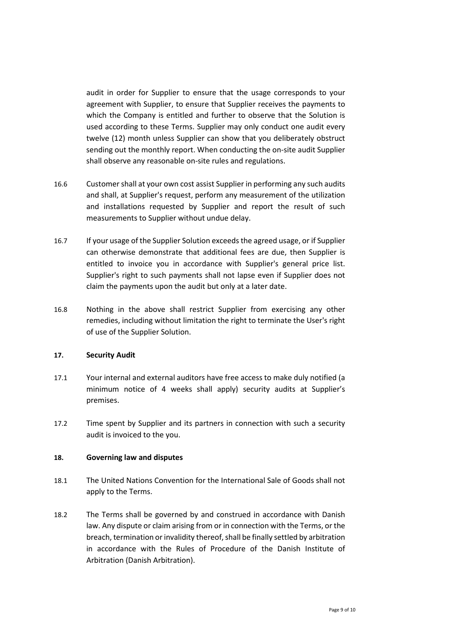audit in order for Supplier to ensure that the usage corresponds to your agreement with Supplier, to ensure that Supplier receives the payments to which the Company is entitled and further to observe that the Solution is used according to these Terms. Supplier may only conduct one audit every twelve (12) month unless Supplier can show that you deliberately obstruct sending out the monthly report. When conducting the on-site audit Supplier shall observe any reasonable on-site rules and regulations.

- 16.6 Customer shall at your own cost assist Supplier in performing any such audits and shall, at Supplier's request, perform any measurement of the utilization and installations requested by Supplier and report the result of such measurements to Supplier without undue delay.
- 16.7 If your usage of the Supplier Solution exceeds the agreed usage, or if Supplier can otherwise demonstrate that additional fees are due, then Supplier is entitled to invoice you in accordance with Supplier's general price list. Supplier's right to such payments shall not lapse even if Supplier does not claim the payments upon the audit but only at a later date.
- 16.8 Nothing in the above shall restrict Supplier from exercising any other remedies, including without limitation the right to terminate the User's right of use of the Supplier Solution.

## **17. Security Audit**

- 17.1 Your internal and external auditors have free access to make duly notified (a minimum notice of 4 weeks shall apply) security audits at Supplier's premises.
- 17.2 Time spent by Supplier and its partners in connection with such a security audit is invoiced to the you.

#### **18. Governing law and disputes**

- 18.1 The United Nations Convention for the International Sale of Goods shall not apply to the Terms.
- 18.2 The Terms shall be governed by and construed in accordance with Danish law. Any dispute or claim arising from or in connection with the Terms, or the breach, termination or invalidity thereof, shall be finally settled by arbitration in accordance with the Rules of Procedure of the Danish Institute of Arbitration (Danish Arbitration).